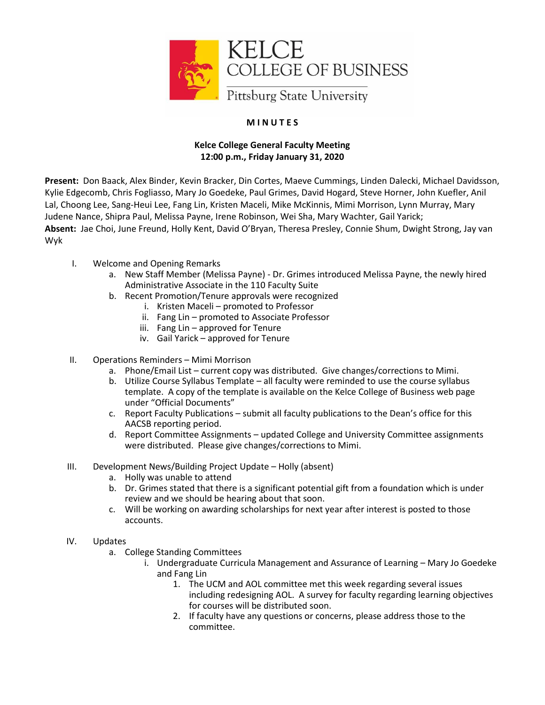

## **M I N U T E S**

## **Kelce College General Faculty Meeting 12:00 p.m., Friday January 31, 2020**

**Present:** Don Baack, Alex Binder, Kevin Bracker, Din Cortes, Maeve Cummings, Linden Dalecki, Michael Davidsson, Kylie Edgecomb, Chris Fogliasso, Mary Jo Goedeke, Paul Grimes, David Hogard, Steve Horner, John Kuefler, Anil Lal, Choong Lee, Sang-Heui Lee, Fang Lin, Kristen Maceli, Mike McKinnis, Mimi Morrison, Lynn Murray, Mary Judene Nance, Shipra Paul, Melissa Payne, Irene Robinson, Wei Sha, Mary Wachter, Gail Yarick; **Absent:** Jae Choi, June Freund, Holly Kent, David O'Bryan, Theresa Presley, Connie Shum, Dwight Strong, Jay van Wyk

- I. Welcome and Opening Remarks
	- a. New Staff Member (Melissa Payne) Dr. Grimes introduced Melissa Payne, the newly hired Administrative Associate in the 110 Faculty Suite
	- b. Recent Promotion/Tenure approvals were recognized
		- i. Kristen Maceli promoted to Professor
		- ii. Fang Lin promoted to Associate Professor
		- iii. Fang Lin approved for Tenure
		- iv. Gail Yarick approved for Tenure
- II. Operations Reminders Mimi Morrison
	- a. Phone/Email List current copy was distributed. Give changes/corrections to Mimi.
	- b. Utilize Course Syllabus Template all faculty were reminded to use the course syllabus template. A copy of the template is available on the Kelce College of Business web page under "Official Documents"
	- c. Report Faculty Publications submit all faculty publications to the Dean's office for this AACSB reporting period.
	- d. Report Committee Assignments updated College and University Committee assignments were distributed. Please give changes/corrections to Mimi.
- III. Development News/Building Project Update Holly (absent)
	- a. Holly was unable to attend
	- b. Dr. Grimes stated that there is a significant potential gift from a foundation which is under review and we should be hearing about that soon.
	- c. Will be working on awarding scholarships for next year after interest is posted to those accounts.
- IV. Updates
	- a. College Standing Committees
		- i. Undergraduate Curricula Management and Assurance of Learning Mary Jo Goedeke and Fang Lin
			- 1. The UCM and AOL committee met this week regarding several issues including redesigning AOL. A survey for faculty regarding learning objectives for courses will be distributed soon.
			- 2. If faculty have any questions or concerns, please address those to the committee.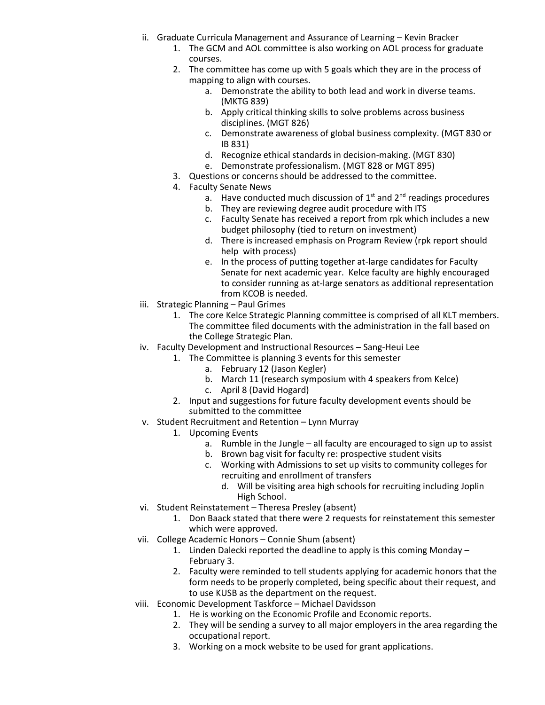- ii. Graduate Curricula Management and Assurance of Learning Kevin Bracker
	- 1. The GCM and AOL committee is also working on AOL process for graduate courses.
	- 2. The committee has come up with 5 goals which they are in the process of mapping to align with courses.
		- a. Demonstrate the ability to both lead and work in diverse teams. (MKTG 839)
		- b. Apply critical thinking skills to solve problems across business disciplines. (MGT 826)
		- c. Demonstrate awareness of global business complexity. (MGT 830 or IB 831)
		- d. Recognize ethical standards in decision-making. (MGT 830)
		- e. Demonstrate professionalism. (MGT 828 or MGT 895)
	- 3. Questions or concerns should be addressed to the committee.
	- 4. Faculty Senate News
		- a. Have conducted much discussion of  $1<sup>st</sup>$  and  $2<sup>nd</sup>$  readings procedures
		- b. They are reviewing degree audit procedure with ITS
		- c. Faculty Senate has received a report from rpk which includes a new budget philosophy (tied to return on investment)
		- d. There is increased emphasis on Program Review (rpk report should help with process)
		- e. In the process of putting together at-large candidates for Faculty Senate for next academic year. Kelce faculty are highly encouraged to consider running as at-large senators as additional representation from KCOB is needed.
- iii. Strategic Planning Paul Grimes
	- 1. The core Kelce Strategic Planning committee is comprised of all KLT members. The committee filed documents with the administration in the fall based on the College Strategic Plan.
- iv. Faculty Development and Instructional Resources Sang-Heui Lee
	- 1. The Committee is planning 3 events for this semester
		- a. February 12 (Jason Kegler)
		- b. March 11 (research symposium with 4 speakers from Kelce)
		- c. April 8 (David Hogard)
		- 2. Input and suggestions for future faculty development events should be submitted to the committee
- v. Student Recruitment and Retention Lynn Murray
	- 1. Upcoming Events
		- a. Rumble in the Jungle all faculty are encouraged to sign up to assist
		- b. Brown bag visit for faculty re: prospective student visits
		- c. Working with Admissions to set up visits to community colleges for recruiting and enrollment of transfers
			- d. Will be visiting area high schools for recruiting including Joplin High School.
- vi. Student Reinstatement Theresa Presley (absent)
	- 1. Don Baack stated that there were 2 requests for reinstatement this semester which were approved.
- vii. College Academic Honors Connie Shum (absent)
	- 1. Linden Dalecki reported the deadline to apply is this coming Monday February 3.
	- 2. Faculty were reminded to tell students applying for academic honors that the form needs to be properly completed, being specific about their request, and to use KUSB as the department on the request.
- viii. Economic Development Taskforce Michael Davidsson
	- 1. He is working on the Economic Profile and Economic reports.
	- 2. They will be sending a survey to all major employers in the area regarding the occupational report.
	- 3. Working on a mock website to be used for grant applications.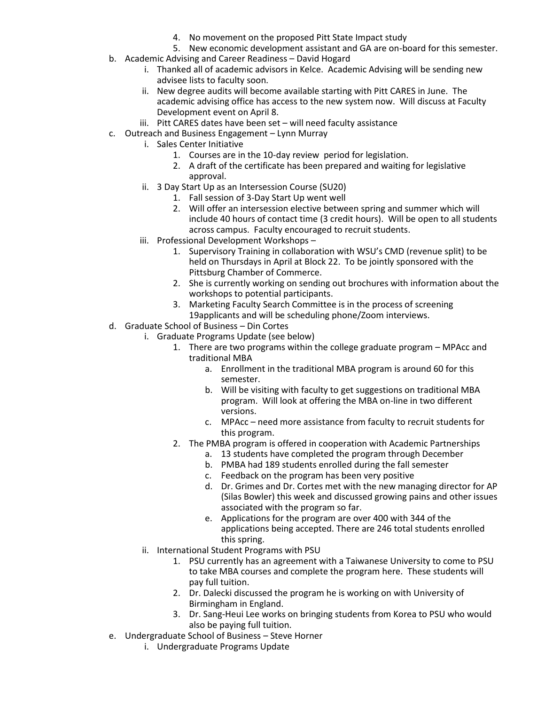- 4. No movement on the proposed Pitt State Impact study
- 5. New economic development assistant and GA are on-board for this semester.
- b. Academic Advising and Career Readiness David Hogard
	- i. Thanked all of academic advisors in Kelce. Academic Advising will be sending new advisee lists to faculty soon.
	- ii. New degree audits will become available starting with Pitt CARES in June. The academic advising office has access to the new system now. Will discuss at Faculty Development event on April 8.
	- iii. Pitt CARES dates have been set will need faculty assistance
- c. Outreach and Business Engagement Lynn Murray
	- i. Sales Center Initiative
		- 1. Courses are in the 10-day review period for legislation.
		- 2. A draft of the certificate has been prepared and waiting for legislative approval.
	- ii. 3 Day Start Up as an Intersession Course (SU20)
		- 1. Fall session of 3-Day Start Up went well
			- 2. Will offer an intersession elective between spring and summer which will include 40 hours of contact time (3 credit hours). Will be open to all students across campus. Faculty encouraged to recruit students.
	- iii. Professional Development Workshops
		- 1. Supervisory Training in collaboration with WSU's CMD (revenue split) to be held on Thursdays in April at Block 22. To be jointly sponsored with the Pittsburg Chamber of Commerce.
		- 2. She is currently working on sending out brochures with information about the workshops to potential participants.
		- 3. Marketing Faculty Search Committee is in the process of screening 19applicants and will be scheduling phone/Zoom interviews.
- d. Graduate School of Business Din Cortes
	- i. Graduate Programs Update (see below)
		- 1. There are two programs within the college graduate program MPAcc and traditional MBA
			- a. Enrollment in the traditional MBA program is around 60 for this semester.
			- b. Will be visiting with faculty to get suggestions on traditional MBA program. Will look at offering the MBA on-line in two different versions.
			- c. MPAcc need more assistance from faculty to recruit students for this program.
		- 2. The PMBA program is offered in cooperation with Academic Partnerships
			- a. 13 students have completed the program through December
			- b. PMBA had 189 students enrolled during the fall semester
			- c. Feedback on the program has been very positive
			- d. Dr. Grimes and Dr. Cortes met with the new managing director for AP (Silas Bowler) this week and discussed growing pains and other issues associated with the program so far.
			- e. Applications for the program are over 400 with 344 of the applications being accepted. There are 246 total students enrolled this spring.
	- ii. International Student Programs with PSU
		- 1. PSU currently has an agreement with a Taiwanese University to come to PSU to take MBA courses and complete the program here. These students will pay full tuition.
		- 2. Dr. Dalecki discussed the program he is working on with University of Birmingham in England.
		- 3. Dr. Sang-Heui Lee works on bringing students from Korea to PSU who would also be paying full tuition.
- e. Undergraduate School of Business Steve Horner
	- i. Undergraduate Programs Update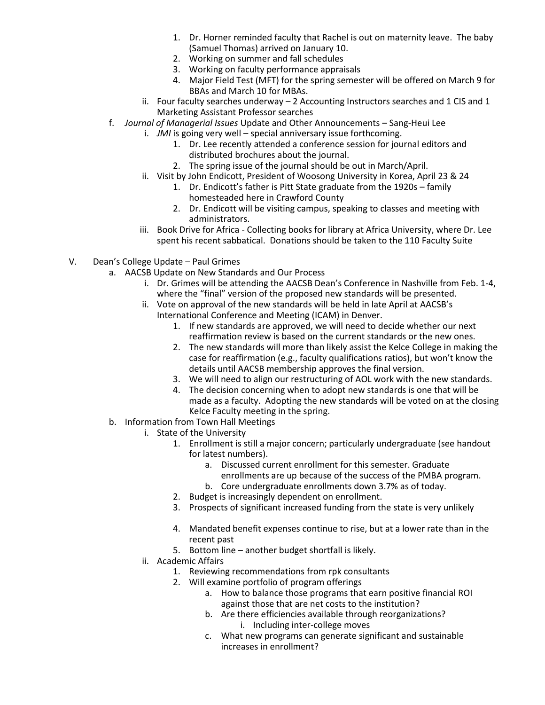- 1. Dr. Horner reminded faculty that Rachel is out on maternity leave. The baby (Samuel Thomas) arrived on January 10.
- 2. Working on summer and fall schedules
- 3. Working on faculty performance appraisals
- 4. Major Field Test (MFT) for the spring semester will be offered on March 9 for BBAs and March 10 for MBAs.
- ii. Four faculty searches underway 2 Accounting Instructors searches and 1 CIS and 1 Marketing Assistant Professor searches
- f. *Journal of Managerial Issues* Update and Other Announcements Sang-Heui Lee
	- i. *JMI* is going very well special anniversary issue forthcoming.
		- 1. Dr. Lee recently attended a conference session for journal editors and distributed brochures about the journal.
		- 2. The spring issue of the journal should be out in March/April.
	- ii. Visit by John Endicott, President of Woosong University in Korea, April 23 & 24
		- 1. Dr. Endicott's father is Pitt State graduate from the 1920s family homesteaded here in Crawford County
		- 2. Dr. Endicott will be visiting campus, speaking to classes and meeting with administrators.
	- iii. Book Drive for Africa Collecting books for library at Africa University, where Dr. Lee spent his recent sabbatical. Donations should be taken to the 110 Faculty Suite
- V. Dean's College Update Paul Grimes
	- a. AACSB Update on New Standards and Our Process
		- i. Dr. Grimes will be attending the AACSB Dean's Conference in Nashville from Feb. 1-4, where the "final" version of the proposed new standards will be presented.
		- ii. Vote on approval of the new standards will be held in late April at AACSB's International Conference and Meeting (ICAM) in Denver.
			- 1. If new standards are approved, we will need to decide whether our next reaffirmation review is based on the current standards or the new ones.
			- 2. The new standards will more than likely assist the Kelce College in making the case for reaffirmation (e.g., faculty qualifications ratios), but won't know the details until AACSB membership approves the final version.
			- 3. We will need to align our restructuring of AOL work with the new standards.
			- 4. The decision concerning when to adopt new standards is one that will be made as a faculty. Adopting the new standards will be voted on at the closing Kelce Faculty meeting in the spring.
	- b. Information from Town Hall Meetings
		- i. State of the University
			- 1. Enrollment is still a major concern; particularly undergraduate (see handout for latest numbers).
				- a. Discussed current enrollment for this semester. Graduate enrollments are up because of the success of the PMBA program.
				- b. Core undergraduate enrollments down 3.7% as of today.
				- 2. Budget is increasingly dependent on enrollment.
			- 3. Prospects of significant increased funding from the state is very unlikely
			- 4. Mandated benefit expenses continue to rise, but at a lower rate than in the recent past
			- 5. Bottom line another budget shortfall is likely.
		- ii. Academic Affairs
			- 1. Reviewing recommendations from rpk consultants
			- 2. Will examine portfolio of program offerings
				- a. How to balance those programs that earn positive financial ROI against those that are net costs to the institution?
				- b. Are there efficiencies available through reorganizations? i. Including inter-college moves
				- c. What new programs can generate significant and sustainable increases in enrollment?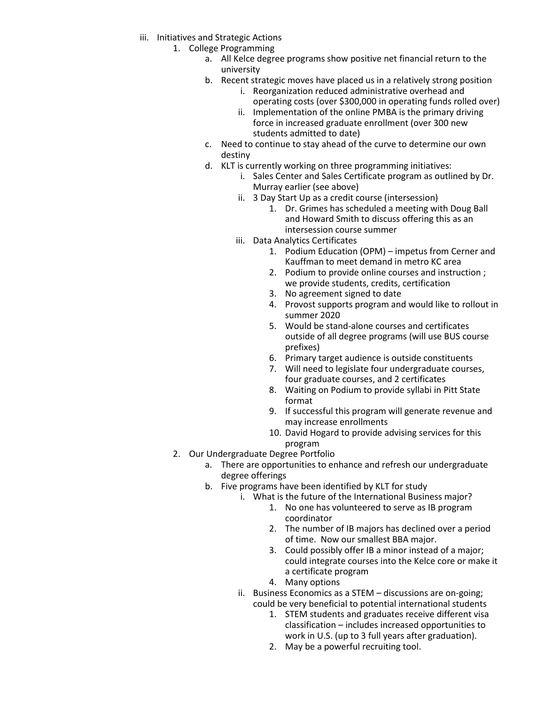- iii. Initiatives and Strategic Actions
	- 1. College Programming
		- a. All Kelce degree programs show positive net financial return to the university
		- b. Recent strategic moves have placed us in a relatively strong position
			- i. Reorganization reduced administrative overhead and operating costs (over \$300,000 in operating funds rolled over)
			- ii. Implementation of the online PMBA is the primary driving force in increased graduate enrollment (over 300 new students admitted to date)
		- c. Need to continue to stay ahead of the curve to determine our own destiny
		- d. KLT is currently working on three programming initiatives:
			- i. Sales Center and Sales Certificate program as outlined by Dr. Murray earlier (see above)
			- ii. 3 Day Start Up as a credit course (intersession)
				- 1. Dr. Grimes has scheduled a meeting with Doug Ball and Howard Smith to discuss offering this as an intersession course summer
			- iii. Data Analytics Certificates
				- 1. Podium Education (OPM) impetus from Cerner and Kauffman to meet demand in metro KC area
				- 2. Podium to provide online courses and instruction ; we provide students, credits, certification
				- 3. No agreement signed to date
				- 4. Provost supports program and would like to rollout in summer 2020
				- 5. Would be stand-alone courses and certificates outside of all degree programs (will use BUS course prefixes)
				- 6. Primary target audience is outside constituents
				- 7. Will need to legislate four undergraduate courses, four graduate courses, and 2 certificates
				- 8. Waiting on Podium to provide syllabi in Pitt State format
				- 9. If successful this program will generate revenue and may increase enrollments
				- 10. David Hogard to provide advising services for this program
	- 2. Our Undergraduate Degree Portfolio
		- a. There are opportunities to enhance and refresh our undergraduate degree offerings
		- b. Five programs have been identified by KLT for study
			- i. What is the future of the International Business major?
				- 1. No one has volunteered to serve as IB program coordinator
				- 2. The number of IB majors has declined over a period of time. Now our smallest BBA major.
				- 3. Could possibly offer IB a minor instead of a major; could integrate courses into the Kelce core or make it a certificate program
				- 4. Many options
			- ii. Business Economics as a STEM discussions are on-going; could be very beneficial to potential international students
				- 1. STEM students and graduates receive different visa classification – includes increased opportunities to work in U.S. (up to 3 full years after graduation).
				- 2. May be a powerful recruiting tool.